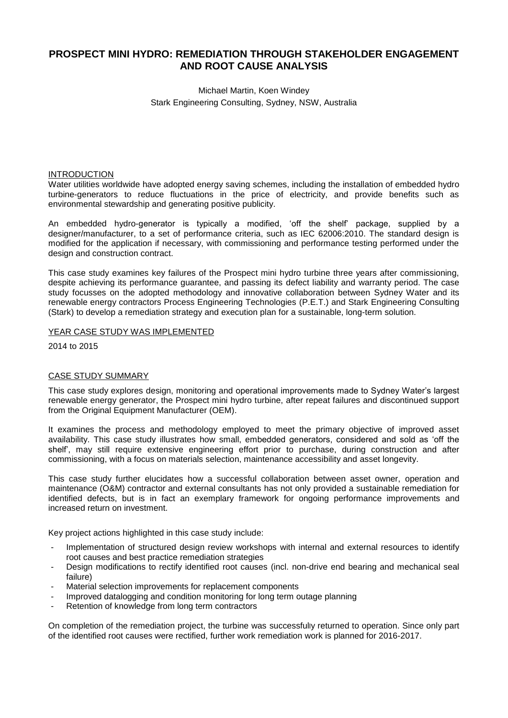# **PROSPECT MINI HYDRO: REMEDIATION THROUGH STAKEHOLDER ENGAGEMENT AND ROOT CAUSE ANALYSIS**

# Michael Martin, Koen Windey Stark Engineering Consulting, Sydney, NSW, Australia

#### INTRODUCTION

Water utilities worldwide have adopted energy saving schemes, including the installation of embedded hydro turbine-generators to reduce fluctuations in the price of electricity, and provide benefits such as environmental stewardship and generating positive publicity.

An embedded hydro-generator is typically a modified, 'off the shelf' package, supplied by a designer/manufacturer, to a set of performance criteria, such as IEC 62006:2010. The standard design is modified for the application if necessary, with commissioning and performance testing performed under the design and construction contract.

This case study examines key failures of the Prospect mini hydro turbine three years after commissioning, despite achieving its performance guarantee, and passing its defect liability and warranty period. The case study focusses on the adopted methodology and innovative collaboration between Sydney Water and its renewable energy contractors Process Engineering Technologies (P.E.T.) and Stark Engineering Consulting (Stark) to develop a remediation strategy and execution plan for a sustainable, long-term solution.

#### YEAR CASE STUDY WAS IMPLEMENTED

2014 to 2015

#### CASE STUDY SUMMARY

This case study explores design, monitoring and operational improvements made to Sydney Water's largest renewable energy generator, the Prospect mini hydro turbine, after repeat failures and discontinued support from the Original Equipment Manufacturer (OEM).

It examines the process and methodology employed to meet the primary objective of improved asset availability. This case study illustrates how small, embedded generators, considered and sold as 'off the shelf', may still require extensive engineering effort prior to purchase, during construction and after commissioning, with a focus on materials selection, maintenance accessibility and asset longevity.

This case study further elucidates how a successful collaboration between asset owner, operation and maintenance (O&M) contractor and external consultants has not only provided a sustainable remediation for identified defects, but is in fact an exemplary framework for ongoing performance improvements and increased return on investment.

Key project actions highlighted in this case study include:

- Implementation of structured design review workshops with internal and external resources to identify root causes and best practice remediation strategies
- Design modifications to rectify identified root causes (incl. non-drive end bearing and mechanical seal failure)
- Material selection improvements for replacement components
- Improved datalogging and condition monitoring for long term outage planning
- Retention of knowledge from long term contractors

On completion of the remediation project, the turbine was successfully returned to operation. Since only part of the identified root causes were rectified, further work remediation work is planned for 2016-2017.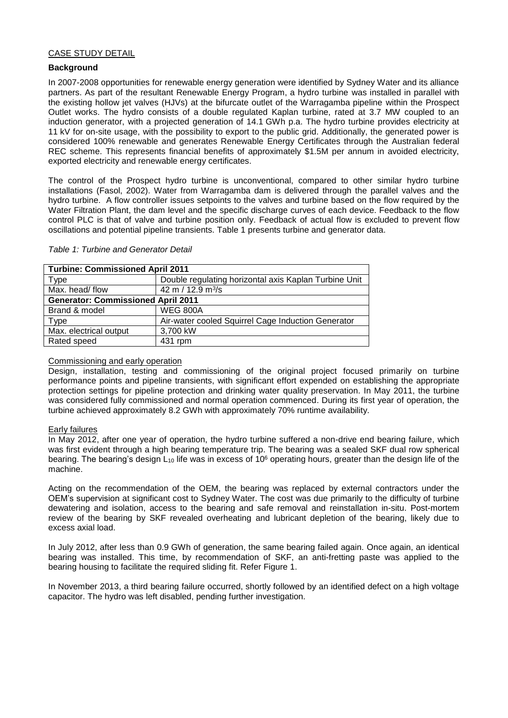### CASE STUDY DETAIL

### **Background**

In 2007-2008 opportunities for renewable energy generation were identified by Sydney Water and its alliance partners. As part of the resultant Renewable Energy Program, a hydro turbine was installed in parallel with the existing hollow jet valves (HJVs) at the bifurcate outlet of the Warragamba pipeline within the Prospect Outlet works. The hydro consists of a double regulated Kaplan turbine, rated at 3.7 MW coupled to an induction generator, with a projected generation of 14.1 GWh p.a. The hydro turbine provides electricity at 11 kV for on-site usage, with the possibility to export to the public grid. Additionally, the generated power is considered 100% renewable and generates Renewable Energy Certificates through the Australian federal REC scheme. This represents financial benefits of approximately \$1.5M per annum in avoided electricity, exported electricity and renewable energy certificates.

The control of the Prospect hydro turbine is unconventional, compared to other similar hydro turbine installations (Fasol, 2002). Water from Warragamba dam is delivered through the parallel valves and the hydro turbine. A flow controller issues setpoints to the valves and turbine based on the flow required by the Water Filtration Plant, the dam level and the specific discharge curves of each device. Feedback to the flow control PLC is that of valve and turbine position only. Feedback of actual flow is excluded to prevent flow oscillations and potential pipeline transients. [Table 1](#page-1-0) presents turbine and generator data.

| <b>Turbine: Commissioned April 2011</b>   |                                                       |  |  |  |
|-------------------------------------------|-------------------------------------------------------|--|--|--|
| Type                                      | Double regulating horizontal axis Kaplan Turbine Unit |  |  |  |
| Max. head/flow                            | 42 m / 12.9 m <sup>3</sup> /s                         |  |  |  |
| <b>Generator: Commissioned April 2011</b> |                                                       |  |  |  |
| Brand & model                             | <b>WEG 800A</b>                                       |  |  |  |
| <b>Type</b>                               | Air-water cooled Squirrel Cage Induction Generator    |  |  |  |
| Max. electrical output                    | 3,700 kW                                              |  |  |  |
| Rated speed                               | 431 rpm                                               |  |  |  |

#### <span id="page-1-0"></span>*Table 1: Turbine and Generator Detail*

#### Commissioning and early operation

Design, installation, testing and commissioning of the original project focused primarily on turbine performance points and pipeline transients, with significant effort expended on establishing the appropriate protection settings for pipeline protection and drinking water quality preservation. In May 2011, the turbine was considered fully commissioned and normal operation commenced. During its first year of operation, the turbine achieved approximately 8.2 GWh with approximately 70% runtime availability.

#### Early failures

In May 2012, after one year of operation, the hydro turbine suffered a non-drive end bearing failure, which was first evident through a high bearing temperature trip. The bearing was a sealed SKF dual row spherical bearing. The bearing's design  $L_{10}$  life was in excess of 10<sup>6</sup> operating hours, greater than the design life of the machine.

Acting on the recommendation of the OEM, the bearing was replaced by external contractors under the OEM's supervision at significant cost to Sydney Water. The cost was due primarily to the difficulty of turbine dewatering and isolation, access to the bearing and safe removal and reinstallation in-situ. Post-mortem review of the bearing by SKF revealed overheating and lubricant depletion of the bearing, likely due to excess axial load.

In July 2012, after less than 0.9 GWh of generation, the same bearing failed again. Once again, an identical bearing was installed. This time, by recommendation of SKF, an anti-fretting paste was applied to the bearing housing to facilitate the required sliding fit. Refer [Figure 1.](#page-2-0)

In November 2013, a third bearing failure occurred, shortly followed by an identified defect on a high voltage capacitor. The hydro was left disabled, pending further investigation.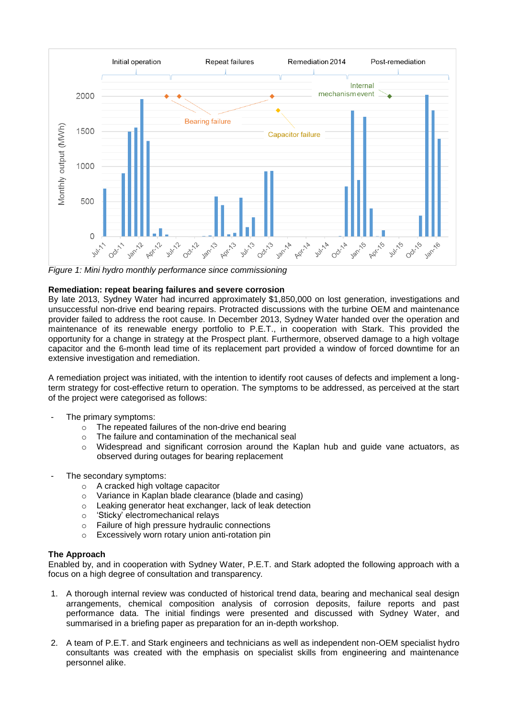

<span id="page-2-0"></span>*Figure 1: Mini hydro monthly performance since commissioning*

## **Remediation: repeat bearing failures and severe corrosion**

By late 2013, Sydney Water had incurred approximately \$1,850,000 on lost generation, investigations and unsuccessful non-drive end bearing repairs. Protracted discussions with the turbine OEM and maintenance provider failed to address the root cause. In December 2013, Sydney Water handed over the operation and maintenance of its renewable energy portfolio to P.E.T., in cooperation with Stark. This provided the opportunity for a change in strategy at the Prospect plant. Furthermore, observed damage to a high voltage capacitor and the 6-month lead time of its replacement part provided a window of forced downtime for an extensive investigation and remediation.

A remediation project was initiated, with the intention to identify root causes of defects and implement a longterm strategy for cost-effective return to operation. The symptoms to be addressed, as perceived at the start of the project were categorised as follows:

- The primary symptoms:
	- o The repeated failures of the non-drive end bearing
	- o The failure and contamination of the mechanical seal
	- o Widespread and significant corrosion around the Kaplan hub and guide vane actuators, as observed during outages for bearing replacement
- The secondary symptoms:
	- o A cracked high voltage capacitor
	- o Variance in Kaplan blade clearance (blade and casing)
	- o Leaking generator heat exchanger, lack of leak detection
	- o 'Sticky' electromechanical relays
	- o Failure of high pressure hydraulic connections
	- o Excessively worn rotary union anti-rotation pin

# **The Approach**

Enabled by, and in cooperation with Sydney Water, P.E.T. and Stark adopted the following approach with a focus on a high degree of consultation and transparency.

- 1. A thorough internal review was conducted of historical trend data, bearing and mechanical seal design arrangements, chemical composition analysis of corrosion deposits, failure reports and past performance data. The initial findings were presented and discussed with Sydney Water, and summarised in a briefing paper as preparation for an in-depth workshop.
- 2. A team of P.E.T. and Stark engineers and technicians as well as independent non-OEM specialist hydro consultants was created with the emphasis on specialist skills from engineering and maintenance personnel alike.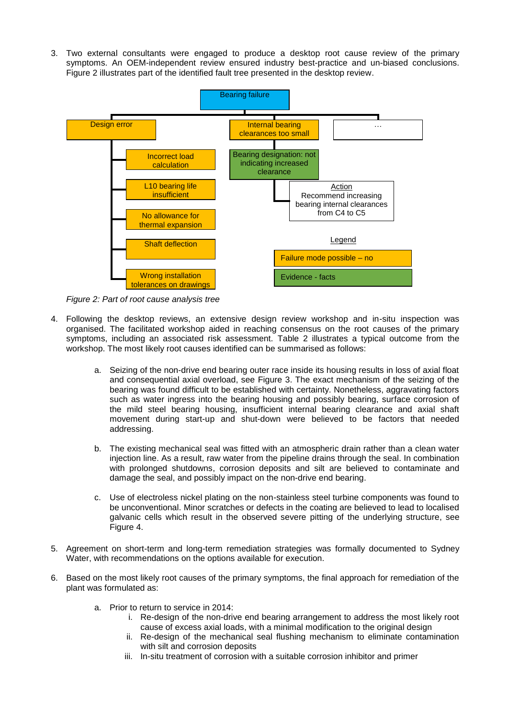3. Two external consultants were engaged to produce a desktop root cause review of the primary symptoms. An OEM-independent review ensured industry best-practice and un-biased conclusions. [Figure 2](#page-3-0) illustrates part of the identified fault tree presented in the desktop review.



<span id="page-3-0"></span>*Figure 2: Part of root cause analysis tree*

- 4. Following the desktop reviews, an extensive design review workshop and in-situ inspection was organised. The facilitated workshop aided in reaching consensus on the root causes of the primary symptoms, including an associated risk assessment. [Table 2](#page-7-0) illustrates a typical outcome from the workshop. The most likely root causes identified can be summarised as follows:
	- a. Seizing of the non-drive end bearing outer race inside its housing results in loss of axial float and consequential axial overload, see [Figure 3.](#page-4-0) The exact mechanism of the seizing of the bearing was found difficult to be established with certainty. Nonetheless, aggravating factors such as water ingress into the bearing housing and possibly bearing, surface corrosion of the mild steel bearing housing, insufficient internal bearing clearance and axial shaft movement during start-up and shut-down were believed to be factors that needed addressing.
	- b. The existing mechanical seal was fitted with an atmospheric drain rather than a clean water injection line. As a result, raw water from the pipeline drains through the seal. In combination with prolonged shutdowns, corrosion deposits and silt are believed to contaminate and damage the seal, and possibly impact on the non-drive end bearing.
	- c. Use of electroless nickel plating on the non-stainless steel turbine components was found to be unconventional. Minor scratches or defects in the coating are believed to lead to localised galvanic cells which result in the observed severe pitting of the underlying structure, see [Figure 4.](#page-4-1)
- 5. Agreement on short-term and long-term remediation strategies was formally documented to Sydney Water, with recommendations on the options available for execution.
- 6. Based on the most likely root causes of the primary symptoms, the final approach for remediation of the plant was formulated as:
	- a. Prior to return to service in 2014:
		- i. Re-design of the non-drive end bearing arrangement to address the most likely root cause of excess axial loads, with a minimal modification to the original design
		- ii. Re-design of the mechanical seal flushing mechanism to eliminate contamination with silt and corrosion deposits
		- iii. In-situ treatment of corrosion with a suitable corrosion inhibitor and primer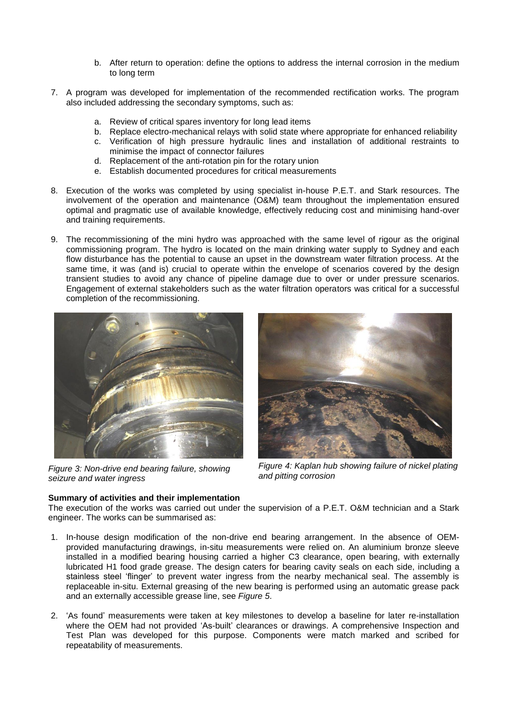- b. After return to operation: define the options to address the internal corrosion in the medium to long term
- 7. A program was developed for implementation of the recommended rectification works. The program also included addressing the secondary symptoms, such as:
	- a. Review of critical spares inventory for long lead items
	- b. Replace electro-mechanical relays with solid state where appropriate for enhanced reliability c. Verification of high pressure hydraulic lines and installation of additional restraints to
		- minimise the impact of connector failures
	- d. Replacement of the anti-rotation pin for the rotary union
	- e. Establish documented procedures for critical measurements
- 8. Execution of the works was completed by using specialist in-house P.E.T. and Stark resources. The involvement of the operation and maintenance (O&M) team throughout the implementation ensured optimal and pragmatic use of available knowledge, effectively reducing cost and minimising hand-over and training requirements.
- 9. The recommissioning of the mini hydro was approached with the same level of rigour as the original commissioning program. The hydro is located on the main drinking water supply to Sydney and each flow disturbance has the potential to cause an upset in the downstream water filtration process. At the same time, it was (and is) crucial to operate within the envelope of scenarios covered by the design transient studies to avoid any chance of pipeline damage due to over or under pressure scenarios. Engagement of external stakeholders such as the water filtration operators was critical for a successful completion of the recommissioning.



*Figure 3: Non-drive end bearing failure, showing seizure and water ingress*

<span id="page-4-1"></span>*Figure 4: Kaplan hub showing failure of nickel plating and pitting corrosion*

# <span id="page-4-0"></span>**Summary of activities and their implementation**

The execution of the works was carried out under the supervision of a P.E.T. O&M technician and a Stark engineer. The works can be summarised as:

- 1. In-house design modification of the non-drive end bearing arrangement. In the absence of OEMprovided manufacturing drawings, in-situ measurements were relied on. An aluminium bronze sleeve installed in a modified bearing housing carried a higher C3 clearance, open bearing, with externally lubricated H1 food grade grease. The design caters for bearing cavity seals on each side, including a stainless steel 'flinger' to prevent water ingress from the nearby mechanical seal. The assembly is replaceable in-situ. External greasing of the new bearing is performed using an automatic grease pack and an externally accessible grease line, see *[Figure 5](#page-5-0)*.
- 2. 'As found' measurements were taken at key milestones to develop a baseline for later re-installation where the OEM had not provided 'As-built' clearances or drawings. A comprehensive Inspection and Test Plan was developed for this purpose. Components were match marked and scribed for repeatability of measurements.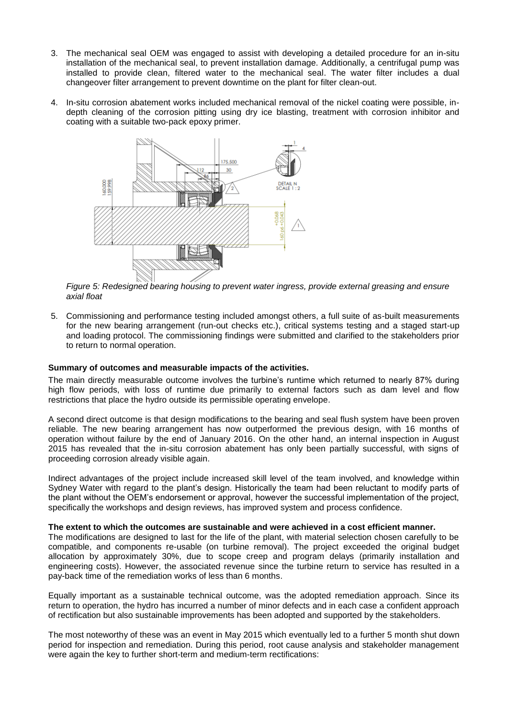- 3. The mechanical seal OEM was engaged to assist with developing a detailed procedure for an in-situ installation of the mechanical seal, to prevent installation damage. Additionally, a centrifugal pump was installed to provide clean, filtered water to the mechanical seal. The water filter includes a dual changeover filter arrangement to prevent downtime on the plant for filter clean-out.
- 4. In-situ corrosion abatement works included mechanical removal of the nickel coating were possible, indepth cleaning of the corrosion pitting using dry ice blasting, treatment with corrosion inhibitor and coating with a suitable two-pack epoxy primer.



<span id="page-5-0"></span>*Figure 5: Redesigned bearing housing to prevent water ingress, provide external greasing and ensure axial float*

5. Commissioning and performance testing included amongst others, a full suite of as-built measurements for the new bearing arrangement (run-out checks etc.), critical systems testing and a staged start-up and loading protocol. The commissioning findings were submitted and clarified to the stakeholders prior to return to normal operation.

#### **Summary of outcomes and measurable impacts of the activities.**

The main directly measurable outcome involves the turbine's runtime which returned to nearly 87% during high flow periods, with loss of runtime due primarily to external factors such as dam level and flow restrictions that place the hydro outside its permissible operating envelope.

A second direct outcome is that design modifications to the bearing and seal flush system have been proven reliable. The new bearing arrangement has now outperformed the previous design, with 16 months of operation without failure by the end of January 2016. On the other hand, an internal inspection in August 2015 has revealed that the in-situ corrosion abatement has only been partially successful, with signs of proceeding corrosion already visible again.

Indirect advantages of the project include increased skill level of the team involved, and knowledge within Sydney Water with regard to the plant's design. Historically the team had been reluctant to modify parts of the plant without the OEM's endorsement or approval, however the successful implementation of the project, specifically the workshops and design reviews, has improved system and process confidence.

#### **The extent to which the outcomes are sustainable and were achieved in a cost efficient manner.**

The modifications are designed to last for the life of the plant, with material selection chosen carefully to be compatible, and components re-usable (on turbine removal). The project exceeded the original budget allocation by approximately 30%, due to scope creep and program delays (primarily installation and engineering costs). However, the associated revenue since the turbine return to service has resulted in a pay-back time of the remediation works of less than 6 months.

Equally important as a sustainable technical outcome, was the adopted remediation approach. Since its return to operation, the hydro has incurred a number of minor defects and in each case a confident approach of rectification but also sustainable improvements has been adopted and supported by the stakeholders.

The most noteworthy of these was an event in May 2015 which eventually led to a further 5 month shut down period for inspection and remediation. During this period, root cause analysis and stakeholder management were again the key to further short-term and medium-term rectifications: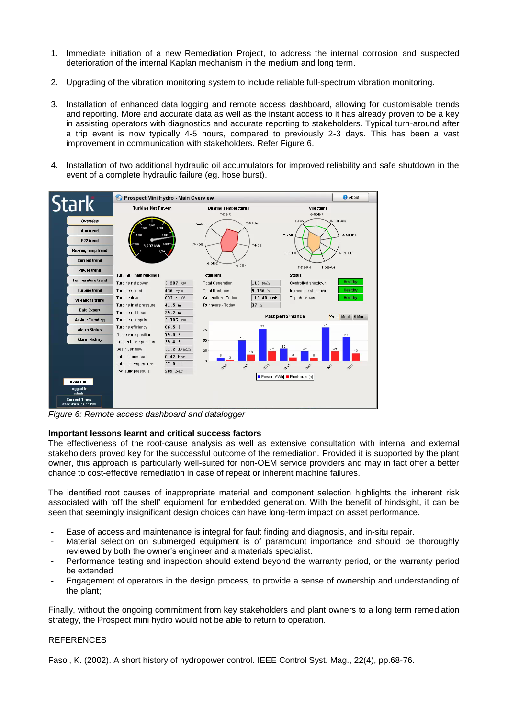- 1. Immediate initiation of a new Remediation Project, to address the internal corrosion and suspected deterioration of the internal Kaplan mechanism in the medium and long term.
- 2. Upgrading of the vibration monitoring system to include reliable full-spectrum vibration monitoring.
- 3. Installation of enhanced data logging and remote access dashboard, allowing for customisable trends and reporting. More and accurate data as well as the instant access to it has already proven to be a key in assisting operators with diagnostics and accurate reporting to stakeholders. Typical turn-around after a trip event is now typically 4-5 hours, compared to previously 2-3 days. This has been a vast improvement in communication with stakeholders. Refer [Figure 6.](#page-6-0)
- 4. Installation of two additional hydraulic oil accumulators for improved reliability and safe shutdown in the event of a complete hydraulic failure (eg. hose burst).



<span id="page-6-0"></span>*Figure 6: Remote access dashboard and datalogger*

#### **Important lessons learnt and critical success factors**

The effectiveness of the root-cause analysis as well as extensive consultation with internal and external stakeholders proved key for the successful outcome of the remediation. Provided it is supported by the plant owner, this approach is particularly well-suited for non-OEM service providers and may in fact offer a better chance to cost-effective remediation in case of repeat or inherent machine failures.

The identified root causes of inappropriate material and component selection highlights the inherent risk associated with 'off the shelf' equipment for embedded generation. With the benefit of hindsight, it can be seen that seemingly insignificant design choices can have long-term impact on asset performance.

- Ease of access and maintenance is integral for fault finding and diagnosis, and in-situ repair.
- Material selection on submerged equipment is of paramount importance and should be thoroughly reviewed by both the owner's engineer and a materials specialist.
- Performance testing and inspection should extend beyond the warranty period, or the warranty period be extended
- Engagement of operators in the design process, to provide a sense of ownership and understanding of the plant;

Finally, without the ongoing commitment from key stakeholders and plant owners to a long term remediation strategy, the Prospect mini hydro would not be able to return to operation.

#### REFERENCES

Fasol, K. (2002). A short history of hydropower control. IEEE Control Syst. Mag., 22(4), pp.68-76.